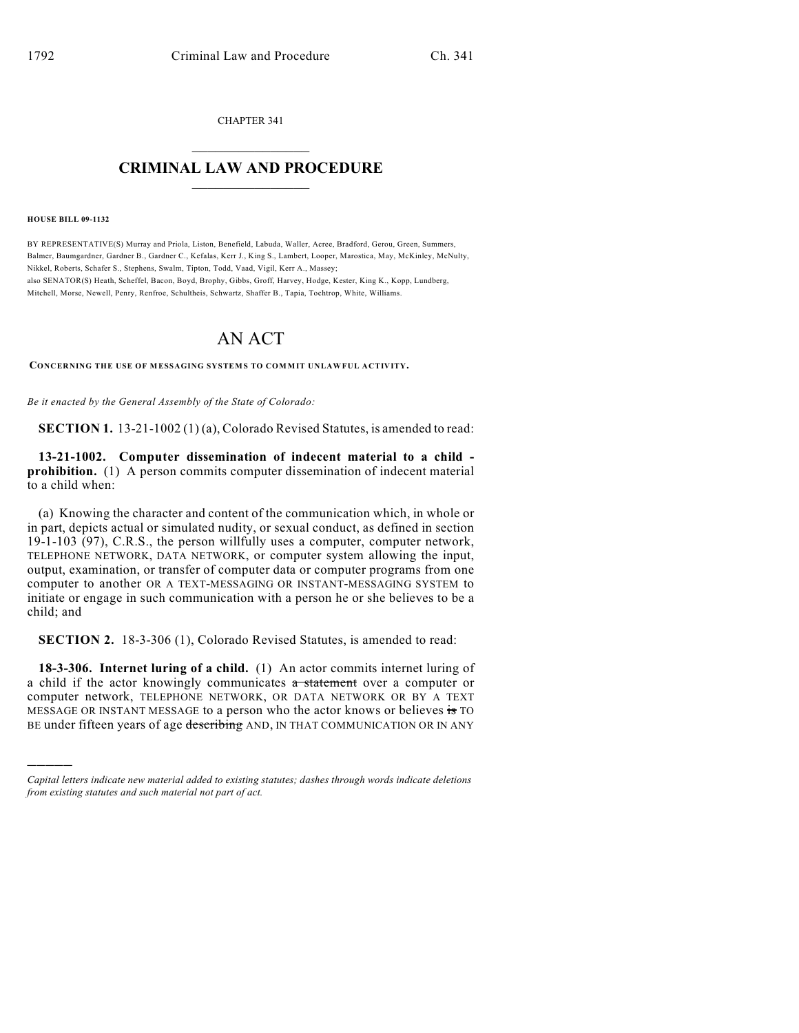CHAPTER 341  $\mathcal{L}_\text{max}$  . The set of the set of the set of the set of the set of the set of the set of the set of the set of the set of the set of the set of the set of the set of the set of the set of the set of the set of the set

## **CRIMINAL LAW AND PROCEDURE**  $\frac{1}{2}$  ,  $\frac{1}{2}$  ,  $\frac{1}{2}$  ,  $\frac{1}{2}$  ,  $\frac{1}{2}$  ,  $\frac{1}{2}$  ,  $\frac{1}{2}$

**HOUSE BILL 09-1132**

)))))

BY REPRESENTATIVE(S) Murray and Priola, Liston, Benefield, Labuda, Waller, Acree, Bradford, Gerou, Green, Summers, Balmer, Baumgardner, Gardner B., Gardner C., Kefalas, Kerr J., King S., Lambert, Looper, Marostica, May, McKinley, McNulty, Nikkel, Roberts, Schafer S., Stephens, Swalm, Tipton, Todd, Vaad, Vigil, Kerr A., Massey; also SENATOR(S) Heath, Scheffel, Bacon, Boyd, Brophy, Gibbs, Groff, Harvey, Hodge, Kester, King K., Kopp, Lundberg, Mitchell, Morse, Newell, Penry, Renfroe, Schultheis, Schwartz, Shaffer B., Tapia, Tochtrop, White, Williams.

## AN ACT

**CONCERNING THE USE OF MESSAGING SYSTEMS TO COM MIT UNLAWFUL ACTIVITY.**

*Be it enacted by the General Assembly of the State of Colorado:*

**SECTION 1.** 13-21-1002 (1) (a), Colorado Revised Statutes, is amended to read:

**13-21-1002. Computer dissemination of indecent material to a child prohibition.** (1) A person commits computer dissemination of indecent material to a child when:

(a) Knowing the character and content of the communication which, in whole or in part, depicts actual or simulated nudity, or sexual conduct, as defined in section 19-1-103 (97), C.R.S., the person willfully uses a computer, computer network, TELEPHONE NETWORK, DATA NETWORK, or computer system allowing the input, output, examination, or transfer of computer data or computer programs from one computer to another OR A TEXT-MESSAGING OR INSTANT-MESSAGING SYSTEM to initiate or engage in such communication with a person he or she believes to be a child; and

**SECTION 2.** 18-3-306 (1), Colorado Revised Statutes, is amended to read:

**18-3-306. Internet luring of a child.** (1) An actor commits internet luring of a child if the actor knowingly communicates a statement over a computer or computer network, TELEPHONE NETWORK, OR DATA NETWORK OR BY A TEXT MESSAGE OR INSTANT MESSAGE to a person who the actor knows or believes is TO BE under fifteen years of age describing AND, IN THAT COMMUNICATION OR IN ANY

*Capital letters indicate new material added to existing statutes; dashes through words indicate deletions from existing statutes and such material not part of act.*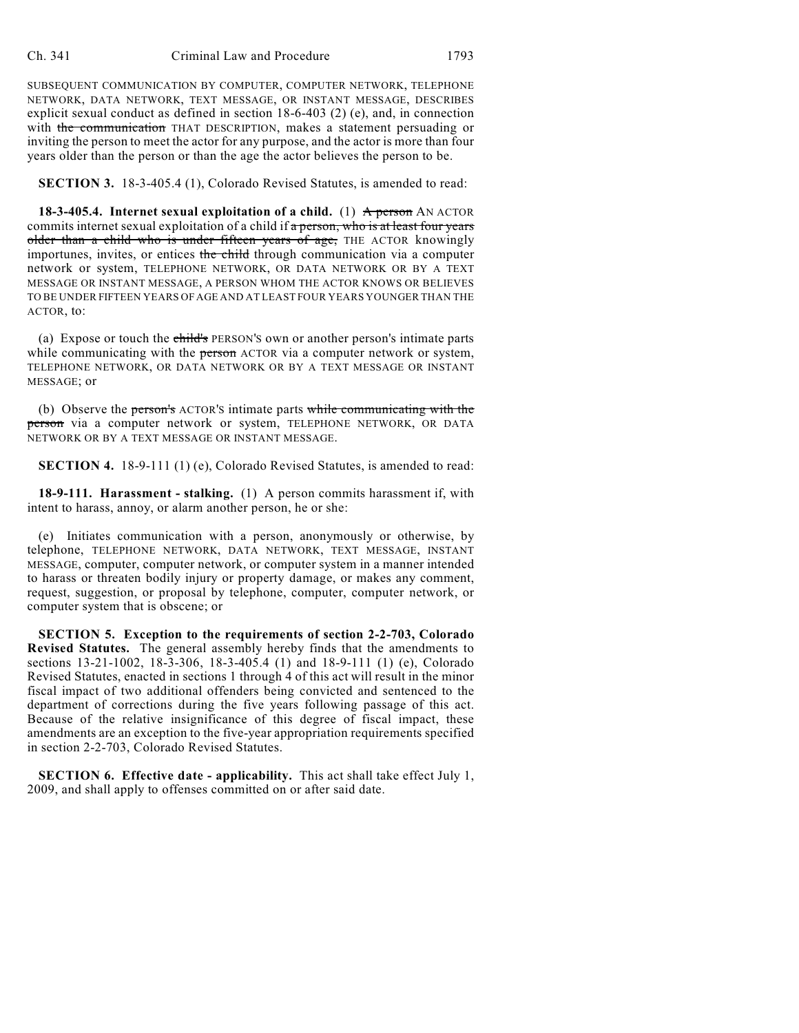SUBSEQUENT COMMUNICATION BY COMPUTER, COMPUTER NETWORK, TELEPHONE NETWORK, DATA NETWORK, TEXT MESSAGE, OR INSTANT MESSAGE, DESCRIBES explicit sexual conduct as defined in section 18-6-403 (2) (e), and, in connection with the communication THAT DESCRIPTION, makes a statement persuading or inviting the person to meet the actor for any purpose, and the actor is more than four years older than the person or than the age the actor believes the person to be.

**SECTION 3.** 18-3-405.4 (1), Colorado Revised Statutes, is amended to read:

**18-3-405.4. Internet sexual exploitation of a child.** (1) A person AN ACTOR commits internet sexual exploitation of a child if a person, who is at least four years older than a child who is under fifteen years of age, THE ACTOR knowingly importunes, invites, or entices the child through communication via a computer network or system, TELEPHONE NETWORK, OR DATA NETWORK OR BY A TEXT MESSAGE OR INSTANT MESSAGE, A PERSON WHOM THE ACTOR KNOWS OR BELIEVES TO BE UNDER FIFTEEN YEARS OF AGE AND AT LEAST FOUR YEARS YOUNGER THAN THE ACTOR, to:

(a) Expose or touch the child's PERSON'S own or another person's intimate parts while communicating with the person ACTOR via a computer network or system, TELEPHONE NETWORK, OR DATA NETWORK OR BY A TEXT MESSAGE OR INSTANT MESSAGE; or

(b) Observe the person's ACTOR's intimate parts while communicating with the person via a computer network or system, TELEPHONE NETWORK, OR DATA NETWORK OR BY A TEXT MESSAGE OR INSTANT MESSAGE.

**SECTION 4.** 18-9-111 (1) (e), Colorado Revised Statutes, is amended to read:

**18-9-111. Harassment - stalking.** (1) A person commits harassment if, with intent to harass, annoy, or alarm another person, he or she:

(e) Initiates communication with a person, anonymously or otherwise, by telephone, TELEPHONE NETWORK, DATA NETWORK, TEXT MESSAGE, INSTANT MESSAGE, computer, computer network, or computer system in a manner intended to harass or threaten bodily injury or property damage, or makes any comment, request, suggestion, or proposal by telephone, computer, computer network, or computer system that is obscene; or

**SECTION 5. Exception to the requirements of section 2-2-703, Colorado Revised Statutes.** The general assembly hereby finds that the amendments to sections 13-21-1002, 18-3-306, 18-3-405.4 (1) and 18-9-111 (1) (e), Colorado Revised Statutes, enacted in sections 1 through 4 of this act will result in the minor fiscal impact of two additional offenders being convicted and sentenced to the department of corrections during the five years following passage of this act. Because of the relative insignificance of this degree of fiscal impact, these amendments are an exception to the five-year appropriation requirements specified in section 2-2-703, Colorado Revised Statutes.

**SECTION 6. Effective date - applicability.** This act shall take effect July 1, 2009, and shall apply to offenses committed on or after said date.